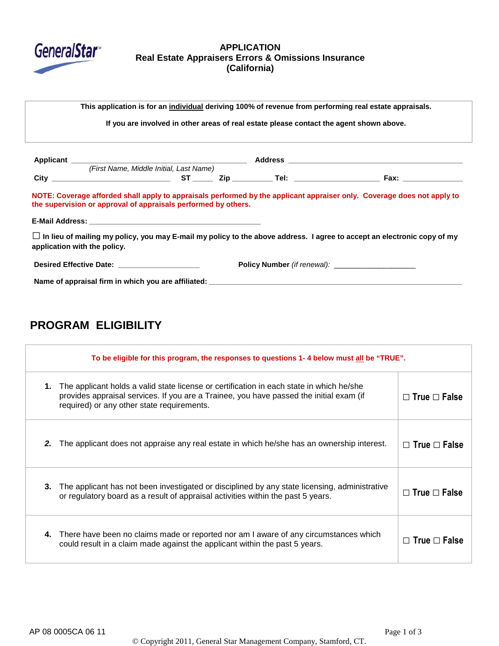

## **APPLICATION Real Estate Appraisers Errors & Omissions Insurance (California)**

**This application is for an individual deriving 100% of revenue from performing real estate appraisals. If you are involved in other areas of real estate please contact the agent shown above. Applicant \_\_\_\_\_\_\_\_\_\_\_\_\_\_\_\_\_\_\_\_\_\_\_\_\_\_\_\_\_\_\_\_\_\_\_\_\_\_\_\_\_\_\_ Address \_\_\_\_\_\_\_\_\_\_\_\_\_\_\_\_\_\_\_\_\_\_\_\_\_\_\_\_\_\_\_\_\_\_\_\_\_\_\_\_\_\_\_** (First Name, Middle Initial, Last Name) **City \_\_\_\_\_\_\_\_\_\_\_\_\_\_\_\_\_\_\_\_\_\_\_\_\_\_\_\_\_ ST \_\_\_\_\_ Zip \_\_\_\_\_\_\_\_\_\_ Tel: \_\_\_\_\_\_\_\_\_\_\_\_\_\_\_\_\_\_\_\_\_ Fax: \_\_\_\_\_\_\_\_\_\_\_\_\_\_\_\_\_\_\_\_\_\_\_ NOTE: Coverage afforded shall apply to appraisals performed by the applicant appraiser only. Coverage does not apply to the supervision or approval of appraisals performed by others. E-Mail Address: \_\_\_\_\_\_\_\_\_\_\_\_\_\_\_\_\_\_\_\_\_\_\_\_\_\_\_\_\_\_\_\_\_\_\_\_\_\_\_\_\_\_** □**In lieu of mailing my policy, you may E-mail my policy to the above address. I agree to accept an electronic copy of my application with the policy. Desired Effective Date: \_\_\_\_\_\_\_\_\_\_\_\_\_\_\_\_\_\_\_\_ Policy Number** (if renewal): \_\_\_\_\_\_\_\_\_\_\_\_\_\_\_\_\_\_\_\_ Name of appraisal firm in which you are affiliated: \_\_\_

# **PROGRAM ELIGIBILITY**

| To be eligible for this program, the responses to questions 1-4 below must all be "TRUE". |                                                                                                                                                                                                                                   |                          |
|-------------------------------------------------------------------------------------------|-----------------------------------------------------------------------------------------------------------------------------------------------------------------------------------------------------------------------------------|--------------------------|
| 1.                                                                                        | The applicant holds a valid state license or certification in each state in which he/she<br>provides appraisal services. If you are a Trainee, you have passed the initial exam (if<br>required) or any other state requirements. | $\Box$ True $\Box$ False |
| 2.                                                                                        | The applicant does not appraise any real estate in which he/she has an ownership interest.                                                                                                                                        | $\Box$ True $\Box$ False |
| 3.                                                                                        | The applicant has not been investigated or disciplined by any state licensing, administrative<br>or regulatory board as a result of appraisal activities within the past 5 years.                                                 | $\Box$ True $\Box$ False |
| 4.                                                                                        | There have been no claims made or reported nor am I aware of any circumstances which<br>could result in a claim made against the applicant within the past 5 years.                                                               | $\Box$ True $\Box$ False |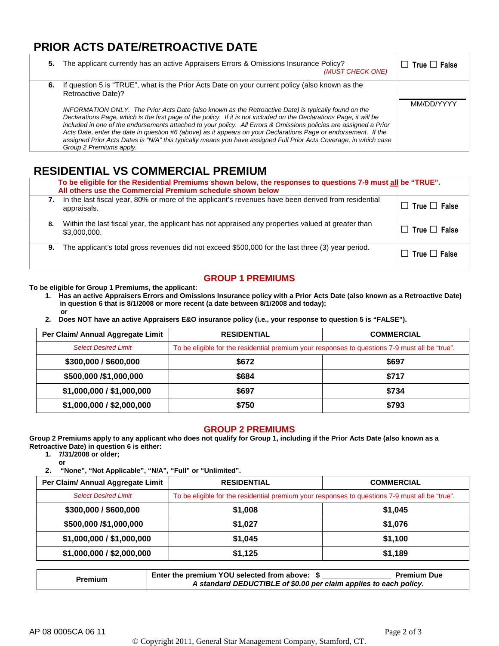## **PRIOR ACTS DATE/RETROACTIVE DATE**

| 5. | The applicant currently has an active Appraisers Errors & Omissions Insurance Policy?<br>(MUST CHECK ONE)                                                                                                                                                                                                                                                                                                                                                                                                                                                                                                                                                                                                                                    | $\Box$ True $\Box$ False |
|----|----------------------------------------------------------------------------------------------------------------------------------------------------------------------------------------------------------------------------------------------------------------------------------------------------------------------------------------------------------------------------------------------------------------------------------------------------------------------------------------------------------------------------------------------------------------------------------------------------------------------------------------------------------------------------------------------------------------------------------------------|--------------------------|
| 6. | If question 5 is "TRUE", what is the Prior Acts Date on your current policy (also known as the<br>Retroactive Date)?<br>INFORMATION ONLY. The Prior Acts Date (also known as the Retroactive Date) is typically found on the<br>Declarations Page, which is the first page of the policy. If it is not included on the Declarations Page, it will be<br>included in one of the endorsements attached to your policy. All Errors & Omissions policies are assigned a Prior<br>Acts Date, enter the date in question #6 (above) as it appears on your Declarations Page or endorsement. If the<br>assigned Prior Acts Dates is "N/A" this typically means you have assigned Full Prior Acts Coverage, in which case<br>Group 2 Premiums apply. | MM/DD/YYYY               |

# **RESIDENTIAL VS COMMERCIAL PREMIUM**

|    | To be eligible for the Residential Premiums shown below, the responses to questions 7-9 must all be "TRUE".<br>All others use the Commercial Premium schedule shown below |                          |  |
|----|---------------------------------------------------------------------------------------------------------------------------------------------------------------------------|--------------------------|--|
| 7. | In the last fiscal year, 80% or more of the applicant's revenues have been derived from residential<br>appraisals.                                                        | $\Box$ True $\Box$ False |  |
| 8. | Within the last fiscal year, the applicant has not appraised any properties valued at greater than<br>\$3,000,000.                                                        | $\Box$ True $\Box$ False |  |
| 9. | The applicant's total gross revenues did not exceed \$500,000 for the last three (3) year period.                                                                         | $\Box$ True $\Box$ False |  |

## **GROUP 1 PREMIUMS**

#### **To be eligible for Group 1 Premiums, the applicant:**

- **1. Has an active Appraisers Errors and Omissions Insurance policy with a Prior Acts Date (also known as a Retroactive Date) in question 6 that is 8/1/2008 or more recent (a date between 8/1/2008 and today); or**
- **2. Does NOT have an active Appraisers E&O insurance policy (i.e., your response to question 5 is "FALSE").**

| Per Claim/ Annual Aggregate Limit | <b>RESIDENTIAL</b>                                                                             | <b>COMMERCIAL</b> |
|-----------------------------------|------------------------------------------------------------------------------------------------|-------------------|
| <b>Select Desired Limit</b>       | To be eligible for the residential premium your responses to questions 7-9 must all be "true". |                   |
| \$300,000 / \$600,000             | \$672                                                                                          | \$697             |
| \$500,000 /\$1,000,000            | \$684                                                                                          | \$717             |
| \$1,000,000 / \$1,000,000         | \$697                                                                                          | \$734             |
| \$1,000,000 / \$2,000,000         | \$750                                                                                          | \$793             |

#### **GROUP 2 PREMIUMS**

**Group 2 Premiums apply to any applicant who does not qualify for Group 1, including if the Prior Acts Date (also known as a Retroactive Date) in question 6 is either:** 

- **1. 7/31/2008 or older;**
	- **or**

**2. "None", "Not Applicable", "N/A", "Full" or "Unlimited".**

| Per Claim/ Annual Aggregate Limit | <b>RESIDENTIAL</b>                                                                             | <b>COMMERCIAL</b> |
|-----------------------------------|------------------------------------------------------------------------------------------------|-------------------|
| <b>Select Desired Limit</b>       | To be eligible for the residential premium your responses to questions 7-9 must all be "true". |                   |
| \$300,000 / \$600,000             | \$1,008                                                                                        | \$1,045           |
| \$500,000 /\$1,000,000            | \$1,027                                                                                        | \$1,076           |
| \$1,000,000 / \$1,000,000         | \$1,045                                                                                        | \$1,100           |
| \$1,000,000 / \$2,000,000         | \$1,125                                                                                        | \$1,189           |

|         | Enter the premium YOU selected from above: \$                     | <b>Premium Due</b> |
|---------|-------------------------------------------------------------------|--------------------|
| Premium | A standard DEDUCTIBLE of \$0.00 per claim applies to each policy. |                    |